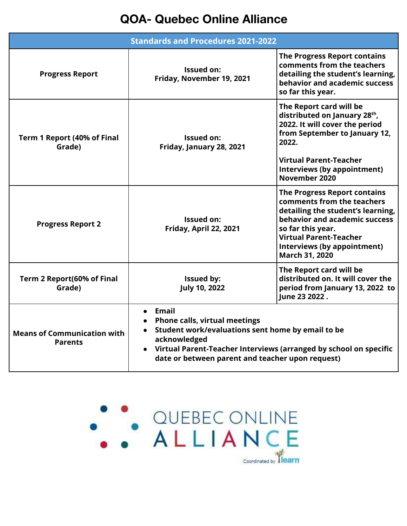## **QOA- Quebec Online Alliance**

| <b>Standards and Procedures 2021-2022</b>            |                                                                                                                                                                                                                                                       |                                                                                                                                                                                                                                                       |  |  |  |  |
|------------------------------------------------------|-------------------------------------------------------------------------------------------------------------------------------------------------------------------------------------------------------------------------------------------------------|-------------------------------------------------------------------------------------------------------------------------------------------------------------------------------------------------------------------------------------------------------|--|--|--|--|
| <b>Progress Report</b>                               | <b>Issued on:</b><br>Friday, November 19, 2021                                                                                                                                                                                                        | <b>The Progress Report contains</b><br>comments from the teachers<br>detailing the student's learning,<br>behavior and academic success<br>so far this year.                                                                                          |  |  |  |  |
| Term 1 Report (40% of Final<br>Grade)                | <b>Issued on:</b><br>Friday, January 28, 2021                                                                                                                                                                                                         | The Report card will be<br>distributed on January 28th,<br>2022. It will cover the period<br>from September to January 12,<br>2022.<br><b>Virtual Parent-Teacher</b><br>Interviews (by appointment)                                                   |  |  |  |  |
|                                                      |                                                                                                                                                                                                                                                       | November 2020                                                                                                                                                                                                                                         |  |  |  |  |
| <b>Progress Report 2</b>                             | <b>Issued on:</b><br>Friday, April 22, 2021                                                                                                                                                                                                           | <b>The Progress Report contains</b><br>comments from the teachers<br>detailing the student's learning,<br>behavior and academic success<br>so far this year.<br><b>Virtual Parent-Teacher</b><br>Interviews (by appointment)<br><b>March 31, 2020</b> |  |  |  |  |
| Term 2 Report(60% of Final<br>Grade)                 | <b>Issued by:</b><br><b>July 10, 2022</b>                                                                                                                                                                                                             | The Report card will be<br>distributed on. It will cover the<br>period from January 13, 2022 to<br>June 23 2022.                                                                                                                                      |  |  |  |  |
| <b>Means of Communication with</b><br><b>Parents</b> | $\bullet$ Email<br><b>Phone calls, virtual meetings</b><br>Student work/evaluations sent home by email to be<br>acknowledged<br>Virtual Parent-Teacher Interviews (arranged by school on specific<br>date or between parent and teacher upon request) |                                                                                                                                                                                                                                                       |  |  |  |  |